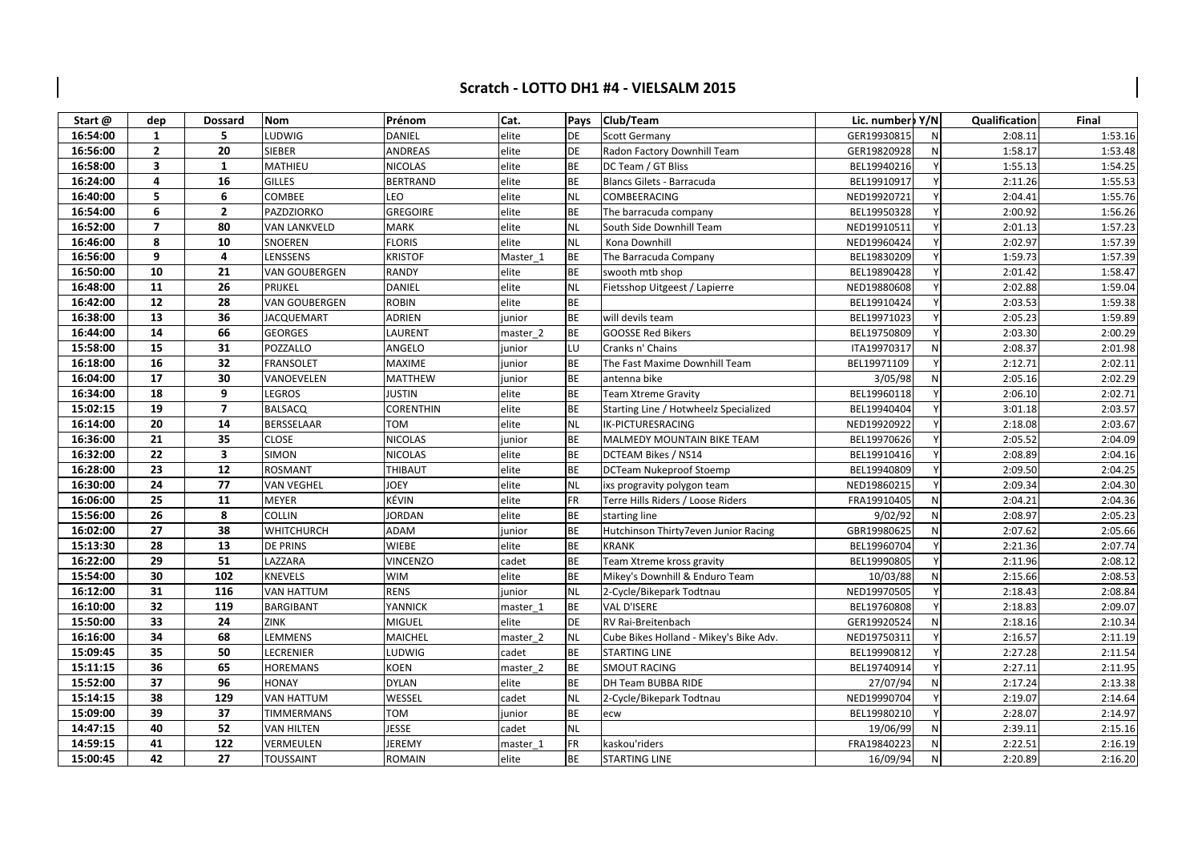## Scratch - LOTTO DH1 #4 - VIELSALM 2015

| Start@   | dep                     | <b>Dossard</b>          | Nom               | Prénom           | Cat.                | Pays      | Club/Team                              | Lic. number Y/N |   | Qualification | Final   |
|----------|-------------------------|-------------------------|-------------------|------------------|---------------------|-----------|----------------------------------------|-----------------|---|---------------|---------|
| 16:54:00 | $\mathbf{1}$            | 5                       | LUDWIG            | DANIEL           | elite               | DE        | Scott Germany                          | GER19930815     | N | 2:08.11       | 1:53.16 |
| 16:56:00 | $\mathbf{2}$            | 20                      | <b>SIEBER</b>     | <b>ANDREAS</b>   | elite               | <b>DE</b> | Radon Factory Downhill Team            | GER19820928     | N | 1:58.17       | 1:53.48 |
| 16:58:00 | $\overline{\mathbf{3}}$ | $\mathbf{1}$            | MATHIEU           | <b>NICOLAS</b>   | elite               | <b>BE</b> | DC Team / GT Bliss                     | BEL19940216     |   | 1:55.13       | 1:54.25 |
| 16:24:00 | 4                       | 16                      | <b>GILLES</b>     | <b>BERTRAND</b>  | elite               | ВE        | Blancs Gilets - Barracuda              | BEL19910917     |   | 2:11.26       | 1:55.53 |
| 16:40:00 | 5                       | 6                       | COMBEE            | LEO              | elite               | <b>NL</b> | COMBEERACING                           | NED19920721     |   | 2:04.41       | 1:55.76 |
| 16:54:00 | 6                       | $\overline{2}$          | PAZDZIORKO        | <b>GREGOIRE</b>  | elite               | <b>BE</b> | The barracuda company                  | BEL19950328     |   | 2:00.92       | 1:56.26 |
| 16:52:00 | $\overline{ }$          | 80                      | VAN LANKVELD      | <b>MARK</b>      | elite               | <b>NL</b> | South Side Downhill Team               | NED19910511     |   | 2:01.13       | 1:57.23 |
| 16:46:00 | 8                       | 10                      | SNOEREN           | <b>FLORIS</b>    | elite               | NL        | Kona Downhill                          | NED19960424     |   | 2:02.97       | 1:57.39 |
| 16:56:00 | 9                       | 4                       | LENSSENS          | <b>KRISTOF</b>   | Master 1            | <b>BE</b> | The Barracuda Company                  | BEL19830209     |   | 1:59.73       | 1:57.39 |
| 16:50:00 | 10                      | 21                      | VAN GOUBERGEN     | <b>RANDY</b>     | elite               | <b>BE</b> | swooth mtb shop                        | BEL19890428     |   | 2:01.42       | 1:58.47 |
| 16:48:00 | 11                      | 26                      | PRIJKEL           | <b>DANIEL</b>    | elite               | <b>NL</b> | Fietsshop Uitgeest / Lapierre          | NED19880608     |   | 2:02.88       | 1:59.04 |
| 16:42:00 | 12                      | 28                      | VAN GOUBERGEN     | <b>ROBIN</b>     | elite               | <b>BE</b> |                                        | BEL19910424     |   | 2:03.53       | 1:59.38 |
| 16:38:00 | 13                      | 36                      | <b>JACQUEMART</b> | <b>ADRIEN</b>    | junior              | <b>BE</b> | will devils team                       | BEL19971023     |   | 2:05.23       | 1:59.89 |
| 16:44:00 | 14                      | 66                      | <b>GEORGES</b>    | LAURENT          | master 2            | <b>BE</b> | <b>GOOSSE Red Bikers</b>               | BEL19750809     |   | 2:03.30       | 2:00.29 |
| 15:58:00 | 15                      | 31                      | POZZALLO          | ANGELO           | junior              | LU        | Cranks n' Chains                       | ITA19970317     | N | 2:08.37       | 2:01.98 |
| 16:18:00 | 16                      | 32                      | <b>FRANSOLET</b>  | <b>MAXIME</b>    | junior              | <b>BE</b> | The Fast Maxime Downhill Team          | BEL19971109     |   | 2:12.71       | 2:02.11 |
| 16:04:00 | 17                      | 30                      | VANOEVELEN        | <b>MATTHEW</b>   | junior              | ВE        | antenna bike                           | 3/05/98         | N | 2:05.16       | 2:02.29 |
| 16:34:00 | 18                      | 9                       | LEGROS            | <b>JUSTIN</b>    | elite               | BE        | <b>Team Xtreme Gravity</b>             | BEL19960118     |   | 2:06.10       | 2:02.71 |
| 15:02:15 | 19                      | $\overline{7}$          | <b>BALSACQ</b>    | <b>CORENTHIN</b> | elite               | <b>BE</b> | Starting Line / Hotwheelz Specialized  | BEL19940404     |   | 3:01.18       | 2:03.57 |
| 16:14:00 | 20                      | 14                      | <b>BERSSELAAR</b> | <b>TOM</b>       | elite               | <b>NL</b> | IK-PICTURESRACING                      | NED19920922     |   | 2:18.08       | 2:03.67 |
| 16:36:00 | 21                      | 35                      | <b>CLOSE</b>      | <b>NICOLAS</b>   | junior              | BE        | MALMEDY MOUNTAIN BIKE TEAM             | BEL19970626     |   | 2:05.52       | 2:04.09 |
| 16:32:00 | 22                      | $\overline{\mathbf{3}}$ | <b>SIMON</b>      | <b>NICOLAS</b>   | elite               | <b>BE</b> | DCTEAM Bikes / NS14                    | BEL19910416     |   | 2:08.89       | 2:04.16 |
| 16:28:00 | 23                      | 12                      | <b>ROSMANT</b>    | THIBAUT          | elite               | <b>BE</b> | DCTeam Nukeproof Stoemp                | BEL19940809     |   | 2:09.50       | 2:04.25 |
| 16:30:00 | 24                      | 77                      | VAN VEGHEL        | <b>JOEY</b>      | elite               | NL        | ixs progravity polygon team            | NED19860215     |   | 2:09.34       | 2:04.30 |
| 16:06:00 | 25                      | 11                      | MEYER             | KÉVIN            | elite               | FR.       | Terre Hills Riders / Loose Riders      | FRA19910405     | N | 2:04.21       | 2:04.36 |
| 15:56:00 | 26                      | 8                       | <b>COLLIN</b>     | <b>JORDAN</b>    | elite               | <b>BE</b> | starting line                          | 9/02/92         | N | 2:08.97       | 2:05.23 |
| 16:02:00 | 27                      | 38                      | <b>WHITCHURCH</b> | <b>ADAM</b>      | junior              | <b>BE</b> | Hutchinson Thirty7even Junior Racing   | GBR19980625     | N | 2:07.62       | 2:05.66 |
| 15:13:30 | 28                      | 13                      | <b>DE PRINS</b>   | <b>WIEBE</b>     | elite               | ВE        | <b>KRANK</b>                           | BEL19960704     |   | 2:21.36       | 2:07.74 |
| 16:22:00 | 29                      | 51                      | LAZZARA           | <b>VINCENZO</b>  | cadet               | <b>BE</b> | Team Xtreme kross gravity              | BEL19990805     |   | 2:11.96       | 2:08.12 |
| 15:54:00 | 30                      | 102                     | KNEVELS           | <b>WIM</b>       | elite               | <b>BE</b> | Mikey's Downhill & Enduro Team         | 10/03/88        | N | 2:15.66       | 2:08.53 |
| 16:12:00 | 31                      | 116                     | <b>VAN HATTUM</b> | <b>RENS</b>      | junior              | <b>NL</b> | 2-Cycle/Bikepark Todtnau               | NED19970505     |   | 2:18.43       | 2:08.84 |
| 16:10:00 | 32                      | 119                     | <b>BARGIBANT</b>  | YANNICK          | master 1            | <b>BE</b> | <b>VAL D'ISERE</b>                     | BEL19760808     |   | 2:18.83       | 2:09.07 |
| 15:50:00 | 33                      | 24                      | ZINK              | <b>MIGUEL</b>    | elite               | DE        | RV Rai-Breitenbach                     | GER19920524     | N | 2:18.16       | 2:10.34 |
| 16:16:00 | 34                      | 68                      | LEMMENS           | <b>MAICHEL</b>   | master <sub>2</sub> | <b>NL</b> | Cube Bikes Holland - Mikey's Bike Adv. | NED19750311     |   | 2:16.57       | 2:11.19 |
| 15:09:45 | 35                      | 50                      | LECRENIER         | LUDWIG           | cadet               | BE        | <b>STARTING LINE</b>                   | BEL19990812     |   | 2:27.28       | 2:11.54 |
| 15:11:15 | 36                      | 65                      | <b>HOREMANS</b>   | <b>KOEN</b>      | master 2            | BE        | <b>SMOUT RACING</b>                    | BEL19740914     |   | 2:27.11       | 2:11.95 |
| 15:52:00 | 37                      | 96                      | HONAY             | <b>DYLAN</b>     | elite               | <b>BE</b> | DH Team BUBBA RIDE                     | 27/07/94        | N | 2:17.24       | 2:13.38 |
| 15:14:15 | 38                      | 129                     | <b>VAN HATTUM</b> | WESSEL           | cadet               | <b>NL</b> | 2-Cycle/Bikepark Todtnau               | NED19990704     |   | 2:19.07       | 2:14.64 |
| 15:09:00 | 39                      | 37                      | <b>TIMMERMANS</b> | <b>TOM</b>       | junior              | BE        | ecw                                    | BEL19980210     |   | 2:28.07       | 2:14.97 |
| 14:47:15 | 40                      | 52                      | VAN HILTEN        | <b>JESSE</b>     | cadet               | <b>NL</b> |                                        | 19/06/99        | N | 2:39.11       | 2:15.16 |
| 14:59:15 | 41                      | 122                     | VERMEULEN         | <b>JEREMY</b>    | master_1            | FR        | kaskou'riders                          | FRA19840223     | N | 2:22.51       | 2:16.19 |
| 15:00:45 | 42                      | 27                      | <b>TOUSSAINT</b>  | <b>ROMAIN</b>    | elite               | <b>BE</b> | <b>STARTING LINE</b>                   | 16/09/94        | N | 2:20.89       | 2:16.20 |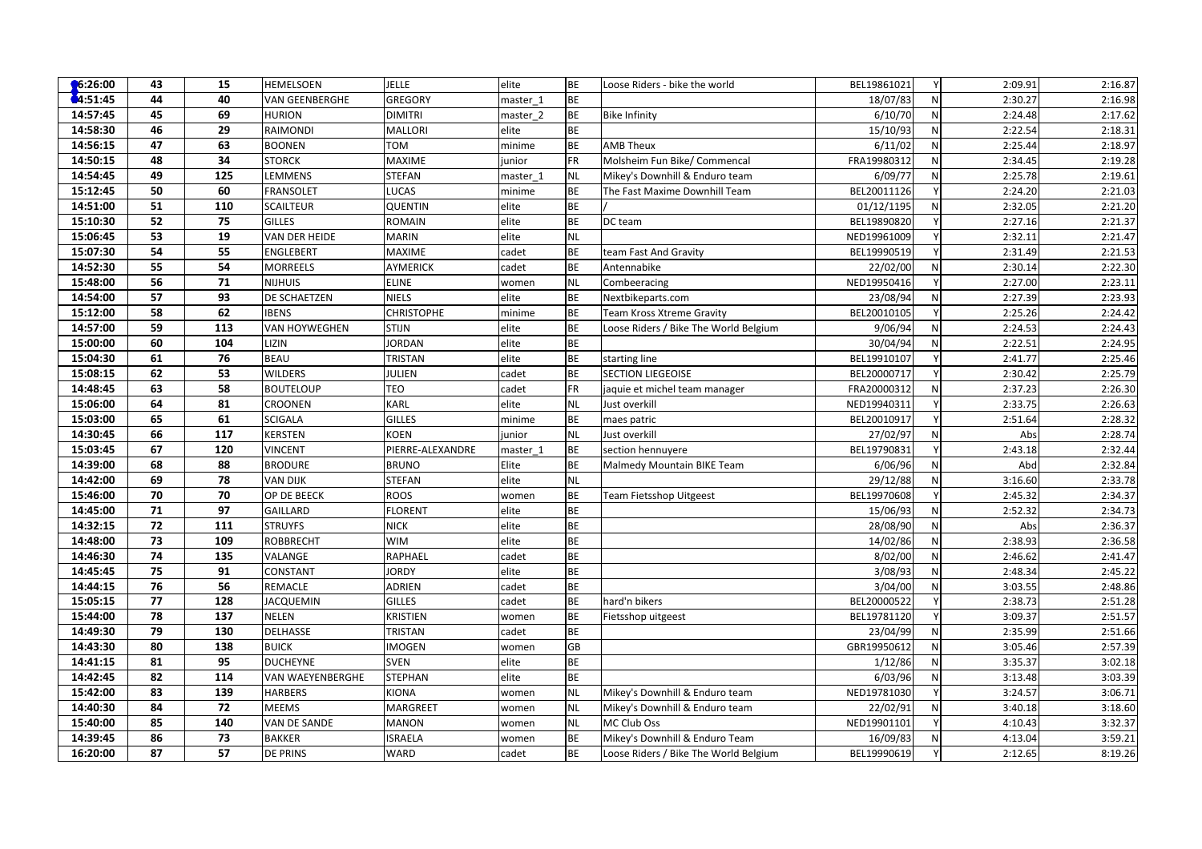| $\bigcirc$ 6:26:00 | 43              | 15  | <b>HEMELSOEN</b>        | <b>JELLE</b>      | elite    | <b>BE</b> | Loose Riders - bike the world         | BEL19861021 | Y            | 2:09.91 | 2:16.87 |
|--------------------|-----------------|-----|-------------------------|-------------------|----------|-----------|---------------------------------------|-------------|--------------|---------|---------|
| 4:51:45            | 44              | 40  | <b>VAN GEENBERGHE</b>   | <b>GREGORY</b>    | master 1 | <b>BE</b> |                                       | 18/07/83    | N            | 2:30.27 | 2:16.98 |
| 14:57:45           | 45              | 69  | <b>HURION</b>           | <b>DIMITRI</b>    | master 2 | <b>BE</b> | <b>Bike Infinity</b>                  | 6/10/70     | $\mathsf{N}$ | 2:24.48 | 2:17.62 |
| 14:58:30           | 46              | 29  | RAIMONDI                | <b>MALLORI</b>    | elite    | <b>BE</b> |                                       | 15/10/93    | N            | 2:22.54 | 2:18.31 |
| 14:56:15           | 47              | 63  | <b>BOONEN</b>           | <b>NOT</b>        | minime   | <b>BE</b> | <b>AMB Theux</b>                      | 6/11/02     | N            | 2:25.44 | 2:18.97 |
| 14:50:15           | 48              | 34  | <b>STORCK</b>           | <b>MAXIME</b>     | junior   | <b>FR</b> | Molsheim Fun Bike/ Commencal          | FRA19980312 | N            | 2:34.45 | 2:19.28 |
| 14:54:45           | 49              | 125 | LEMMENS                 | <b>STEFAN</b>     | master 1 | NL        | Mikey's Downhill & Enduro team        | 6/09/77     | N            | 2:25.78 | 2:19.61 |
| 15:12:45           | 50              | 60  | <b>FRANSOLET</b>        | LUCAS             | minime   | <b>BE</b> | The Fast Maxime Downhill Team         | BEL20011126 |              | 2:24.20 | 2:21.03 |
| 14:51:00           | 51              | 110 | <b>SCAILTEUR</b>        | <b>QUENTIN</b>    | elite    | <b>BE</b> |                                       | 01/12/1195  | N            | 2:32.05 | 2:21.20 |
| 15:10:30           | 52              | 75  | GILLES                  | <b>ROMAIN</b>     | elite    | BE        | DC team                               | BEL19890820 |              | 2:27.16 | 2:21.37 |
| 15:06:45           | 53              | 19  | VAN DER HEIDE           | <b>MARIN</b>      | elite    | <b>NL</b> |                                       | NED19961009 |              | 2:32.11 | 2:21.47 |
| 15:07:30           | 54              | 55  | ENGLEBERT               | MAXIME            | cadet    | <b>BE</b> | team Fast And Gravity                 | BEL19990519 |              | 2:31.49 | 2:21.53 |
| 14:52:30           | 55              | 54  | <b>MORREELS</b>         | <b>AYMERICK</b>   | cadet    | BE        | Antennabike                           | 22/02/00    | N            | 2:30.14 | 2:22.30 |
| 15:48:00           | 56              | 71  | <b>NIJHUIS</b>          | <b>ELINE</b>      | women    | <b>NL</b> | Combeeracing                          | NED19950416 |              | 2:27.00 | 2:23.11 |
| 14:54:00           | 57              | 93  | DE SCHAETZEN            | <b>NIELS</b>      | elite    | BE        | Nextbikeparts.com                     | 23/08/94    | N            | 2:27.39 | 2:23.93 |
| 15:12:00           | 58              | 62  | <b>IBENS</b>            | <b>CHRISTOPHE</b> | minime   | <b>BE</b> | Team Kross Xtreme Gravity             | BEL20010105 |              | 2:25.26 | 2:24.42 |
| 14:57:00           | 59              | 113 | <b>VAN HOYWEGHEN</b>    | <b>STIJN</b>      | elite    | BE        | Loose Riders / Bike The World Belgium | 9/06/94     | N            | 2:24.53 | 2:24.43 |
| 15:00:00           | 60              | 104 | LIZIN                   | <b>JORDAN</b>     | elite    | <b>BE</b> |                                       | 30/04/94    | N            | 2:22.51 | 2:24.95 |
| 15:04:30           | 61              | 76  | <b>BEAU</b>             | <b>TRISTAN</b>    | elite    | BE        | starting line                         | BEL19910107 |              | 2:41.77 | 2:25.46 |
| 15:08:15           | 62              | 53  | <b>WILDERS</b>          | <b>JULIEN</b>     | cadet    | <b>BE</b> | <b>SECTION LIEGEOISE</b>              | BEL20000717 |              | 2:30.42 | 2:25.79 |
| 14:48:45           | 63              | 58  | <b>BOUTELOUP</b>        | TEO               | cadet    | <b>FR</b> | jaquie et michel team manager         | FRA20000312 | N            | 2:37.23 | 2:26.30 |
| 15:06:00           | 64              | 81  | <b>CROONEN</b>          | <b>KARL</b>       | elite    | <b>NL</b> | Just overkill                         | NED19940311 |              | 2:33.75 | 2:26.63 |
| 15:03:00           | 65              | 61  | <b>SCIGALA</b>          | <b>GILLES</b>     | minime   | <b>BE</b> | maes patric                           | BEL20010917 |              | 2:51.64 | 2:28.32 |
| 14:30:45           | 66              | 117 | KERSTEN                 | <b>KOEN</b>       | junior   | <b>NL</b> | Just overkill                         | 27/02/97    | N            | Abs     | 2:28.74 |
| 15:03:45           | 67              | 120 | VINCENT                 | PIERRE-ALEXANDRE  | master 1 | <b>BE</b> | section hennuyere                     | BEL19790831 |              | 2:43.18 | 2:32.44 |
| 14:39:00           | 68              | 88  | <b>BRODURE</b>          | <b>BRUNO</b>      | Elite    | <b>BE</b> | Malmedy Mountain BIKE Team            | 6/06/96     | N            | Abd     | 2:32.84 |
| 14:42:00           | 69              | 78  | <b>VAN DIJK</b>         | <b>STEFAN</b>     | elite    | <b>NL</b> |                                       | 29/12/88    | N            | 3:16.60 | 2:33.78 |
| 15:46:00           | 70              | 70  | OP DE BEECK             | <b>ROOS</b>       | women    | BE        | Team Fietsshop Uitgeest               | BEL19970608 | $\mathsf{v}$ | 2:45.32 | 2:34.37 |
| 14:45:00           | 71              | 97  | GAILLARD                | <b>FLORENT</b>    | elite    | <b>BE</b> |                                       | 15/06/93    | N            | 2:52.32 | 2:34.73 |
| 14:32:15           | 72              | 111 | <b>STRUYFS</b>          | <b>NICK</b>       | elite    | BE        |                                       | 28/08/90    | N            | Abs     | 2:36.37 |
| 14:48:00           | 73              | 109 | <b>ROBBRECHT</b>        | <b>WIM</b>        | elite    | <b>BE</b> |                                       | 14/02/86    | N            | 2:38.93 | 2:36.58 |
| 14:46:30           | 74              | 135 | VALANGE                 | RAPHAEL           | cadet    | <b>BE</b> |                                       | 8/02/00     | N            | 2:46.62 | 2:41.47 |
| 14:45:45           | 75              | 91  | CONSTANT                | <b>JORDY</b>      | elite    | BE        |                                       | 3/08/93     | $\mathsf{N}$ | 2:48.34 | 2:45.22 |
| 14:44:15           | 76              | 56  | REMACLE                 | <b>ADRIEN</b>     | cadet    | <b>BE</b> |                                       | 3/04/00     | N            | 3:03.55 | 2:48.86 |
| 15:05:15           | 77              | 128 | <b>JACQUEMIN</b>        | <b>GILLES</b>     | cadet    | <b>BE</b> | hard'n bikers                         | BEL20000522 |              | 2:38.73 | 2:51.28 |
| 15:44:00           | 78              | 137 | <b>NELEN</b>            | KRISTIEN          | women    | BE        | Fietsshop uitgeest                    | BEL19781120 |              | 3:09.37 | 2:51.57 |
| 14:49:30           | 79              | 130 | DELHASSE                | TRISTAN           | cadet    | <b>BE</b> |                                       | 23/04/99    | N            | 2:35.99 | 2:51.66 |
| 14:43:30           | 80              | 138 | <b>BUICK</b>            | <b>IMOGEN</b>     | women    | GB        |                                       | GBR19950612 | N            | 3:05.46 | 2:57.39 |
| 14:41:15           | 81              | 95  | <b>DUCHEYNE</b>         | <b>SVEN</b>       | elite    | BE        |                                       | 1/12/86     | $\mathsf{N}$ | 3:35.37 | 3:02.18 |
| 14:42:45           | $\overline{82}$ | 114 | <b>VAN WAEYENBERGHE</b> | <b>STEPHAN</b>    | elite    | <b>BE</b> |                                       | 6/03/96     | $\mathsf{N}$ | 3:13.48 | 3:03.39 |
| 15:42:00           | 83              | 139 | <b>HARBERS</b>          | <b>KIONA</b>      | women    | NL        | Mikey's Downhill & Enduro team        | NED19781030 | Y            | 3:24.57 | 3:06.71 |
| 14:40:30           | 84              | 72  | <b>MEEMS</b>            | MARGREET          | women    | <b>NL</b> | Mikey's Downhill & Enduro team        | 22/02/91    | N            | 3:40.18 | 3:18.60 |
| 15:40:00           | 85              | 140 | VAN DE SANDE            | MANON             | women    | <b>NL</b> | MC Club Oss                           | NED19901101 |              | 4:10.43 | 3:32.37 |
| 14:39:45           | 86              | 73  | <b>BAKKER</b>           | <b>ISRAELA</b>    | women    | <b>BE</b> | Mikey's Downhill & Enduro Team        | 16/09/83    | N            | 4:13.04 | 3:59.21 |
| 16:20:00           | 87              | 57  | <b>DE PRINS</b>         | WARD              | cadet    | <b>BE</b> | Loose Riders / Bike The World Belgium | BEL19990619 |              | 2:12.65 | 8:19.26 |